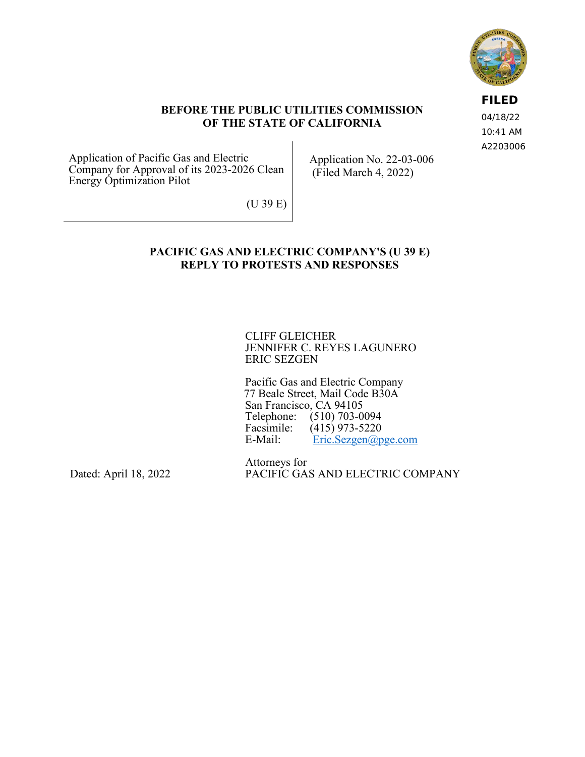

**FILED** 04/18/22 10:41 AM A2203006

### **BEFORE THE PUBLIC UTILITIES COMMISSION OF THE STATE OF CALIFORNIA**

Application of Pacific Gas and Electric Company for Approval of its 2023-2026 Clean Energy Optimization Pilot

Application No. 22-03-006 (Filed March 4, 2022)

(U 39 E)

## **PACIFIC GAS AND ELECTRIC COMPANY'S (U 39 E) REPLY TO PROTESTS AND RESPONSES**

CLIFF GLEICHER JENNIFER C. REYES LAGUNERO ERIC SEZGEN

Pacific Gas and Electric Company 77 Beale Street, Mail Code B30A San Francisco, CA 94105 Telephone: (510) 703-0094<br>Facsimile: (415) 973-5220 Facsimile:  $(415)$  973-5220<br>E-Mail: Eric.Sezgen@p  $Eric. Sezgen@pge.com$ 

Dated: April 18, 2022

Attorneys for PACIFIC GAS AND ELECTRIC COMPANY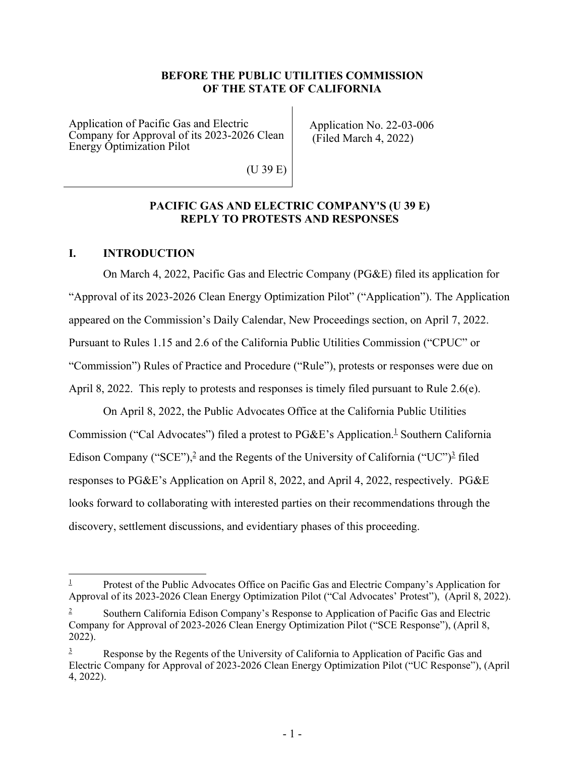### **BEFORE THE PUBLIC UTILITIES COMMISSION OF THE STATE OF CALIFORNIA**

Application of Pacific Gas and Electric Company for Approval of its 2023-2026 Clean Energy Optimization Pilot

Application No. 22-03-006 (Filed March 4, 2022)

(U 39 E)

### **PACIFIC GAS AND ELECTRIC COMPANY'S (U 39 E) REPLY TO PROTESTS AND RESPONSES**

## **I. INTRODUCTION**

On March 4, 2022, Pacific Gas and Electric Company (PG&E) filed its application for "Approval of its 2023-2026 Clean Energy Optimization Pilot" ("Application"). The Application appeared on the Commission's Daily Calendar, New Proceedings section, on April 7, 2022. Pursuant to Rules 1.15 and 2.6 of the California Public Utilities Commission ("CPUC" or "Commission") Rules of Practice and Procedure ("Rule"), protests or responses were due on April 8, 2022. This reply to protests and responses is timely filed pursuant to Rule 2.6(e).

On April 8, 2022, the Public Advocates Office at the California Public Utilities Commission ("Cal Advocates") filed a protest to  $PGEE$ 's Application.<sup>1</sup> Southern California Edison Company ("SCE"),<sup>2</sup> and the Regents of the University of California ("UC")<sup>2</sup> filed responses to PG&E's Application on April 8, 2022, and April 4, 2022, respectively. PG&E looks forward to collaborating with interested parties on their recommendations through the discovery, settlement discussions, and evidentiary phases of this proceeding.

<sup>1</sup> Protest of the Public Advocates Office on Pacific Gas and Electric Company's Application for Approval of its 2023-2026 Clean Energy Optimization Pilot ("Cal Advocates' Protest"), (April 8, 2022).

<sup>2</sup> Southern California Edison Company's Response to Application of Pacific Gas and Electric Company for Approval of 2023-2026 Clean Energy Optimization Pilot ("SCE Response"), (April 8,  $2022)$ .

<sup>3</sup> Response by the Regents of the University of California to Application of Pacific Gas and Electric Company for Approval of 2023-2026 Clean Energy Optimization Pilot ("UC Response"), (April 4, 2022).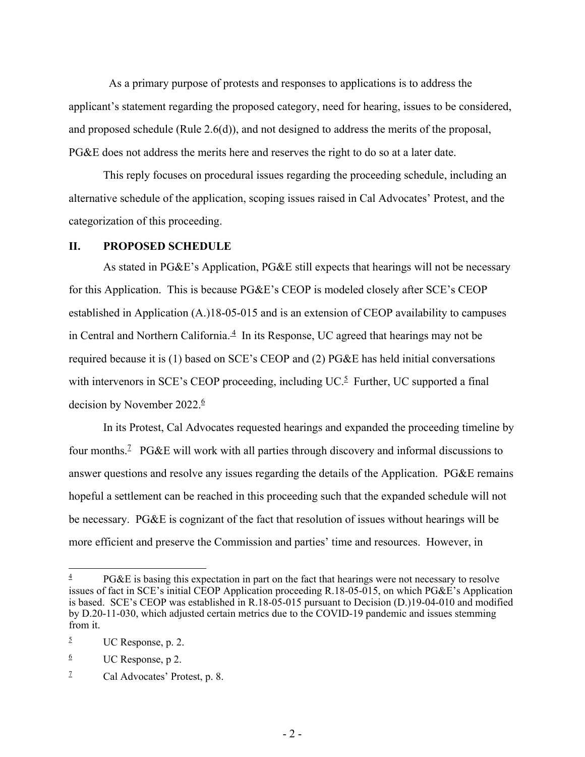As a primary purpose of protests and responses to applications is to address the applicant's statement regarding the proposed category, need for hearing, issues to be considered, and proposed schedule (Rule 2.6(d)), and not designed to address the merits of the proposal, PG&E does not address the merits here and reserves the right to do so at a later date.

This reply focuses on procedural issues regarding the proceeding schedule, including an alternative schedule of the application, scoping issues raised in Cal Advocates' Protest, and the categorization of this proceeding.

#### **II. PROPOSED SCHEDULE**

As stated in PG&E's Application, PG&E still expects that hearings will not be necessary for this Application. This is because PG&E's CEOP is modeled closely after SCE's CEOP established in Application (A.)18-05-015 and is an extension of CEOP availability to campuses in Central and Northern California. $\frac{4}{3}$  In its Response, UC agreed that hearings may not be required because it is (1) based on SCE's CEOP and (2) PG&E has held initial conversations with intervenors in SCE's CEOP proceeding, including UC. $5$  Further, UC supported a final decision by November 2022.<sup>6</sup>

In its Protest, Cal Advocates requested hearings and expanded the proceeding timeline by four months.<sup>2</sup> PG&E will work with all parties through discovery and informal discussions to answer questions and resolve any issues regarding the details of the Application. PG&E remains hopeful a settlement can be reached in this proceeding such that the expanded schedule will not be necessary. PG&E is cognizant of the fact that resolution of issues without hearings will be more efficient and preserve the Commission and parties' time and resources. However, in

6 UC Response, p 2.

<sup>4</sup> PG&E is basing this expectation in part on the fact that hearings were not necessary to resolve issues of fact in SCE's initial CEOP Application proceeding R.18-05-015, on which PG&E's Application is based. SCE's CEOP was established in R.18-05-015 pursuant to Decision (D.)19-04-010 and modified by D.20-11-030, which adjusted certain metrics due to the COVID-19 pandemic and issues stemming from it.

<sup>5</sup> UC Response, p. 2.

<sup>7</sup> Cal Advocates' Protest, p. 8.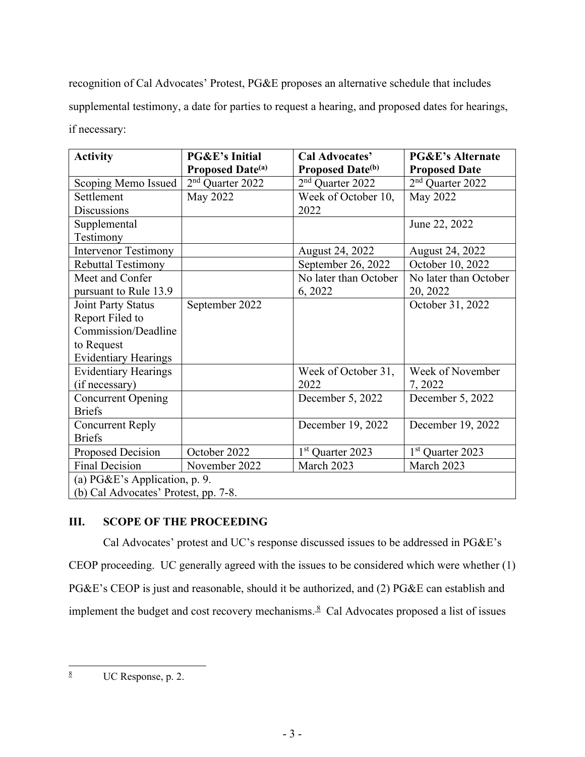recognition of Cal Advocates' Protest, PG&E proposes an alternative schedule that includes supplemental testimony, a date for parties to request a hearing, and proposed dates for hearings, if necessary:

| <b>Activity</b>                      | <b>PG&amp;E's Initial</b>           | <b>Cal Advocates'</b>               | <b>PG&amp;E's Alternate</b>  |
|--------------------------------------|-------------------------------------|-------------------------------------|------------------------------|
|                                      | <b>Proposed Date</b> <sup>(a)</sup> | <b>Proposed Date</b> <sup>(b)</sup> | <b>Proposed Date</b>         |
| Scoping Memo Issued                  | 2 <sup>nd</sup> Quarter 2022        | 2 <sup>nd</sup> Quarter 2022        | 2 <sup>nd</sup> Quarter 2022 |
| Settlement                           | May 2022                            | Week of October 10,                 | May 2022                     |
| <b>Discussions</b>                   |                                     | 2022                                |                              |
| Supplemental                         |                                     |                                     | June 22, 2022                |
| Testimony                            |                                     |                                     |                              |
| <b>Intervenor Testimony</b>          |                                     | August 24, 2022                     | August 24, 2022              |
| <b>Rebuttal Testimony</b>            |                                     | September 26, 2022                  | October 10, 2022             |
| Meet and Confer                      |                                     | No later than October               | No later than October        |
| pursuant to Rule 13.9                |                                     | 6, 2022                             | 20, 2022                     |
| Joint Party Status                   | September 2022                      |                                     | October 31, 2022             |
| Report Filed to                      |                                     |                                     |                              |
| Commission/Deadline                  |                                     |                                     |                              |
| to Request                           |                                     |                                     |                              |
| <b>Evidentiary Hearings</b>          |                                     |                                     |                              |
| <b>Evidentiary Hearings</b>          |                                     | Week of October 31,                 | Week of November             |
| (if necessary)                       |                                     | 2022                                | 7, 2022                      |
| <b>Concurrent Opening</b>            |                                     | December 5, 2022                    | December 5, 2022             |
| <b>Briefs</b>                        |                                     |                                     |                              |
| <b>Concurrent Reply</b>              |                                     | December 19, 2022                   | December 19, 2022            |
| <b>Briefs</b>                        |                                     |                                     |                              |
| <b>Proposed Decision</b>             | October 2022                        | 1 <sup>st</sup> Quarter 2023        | 1 <sup>st</sup> Quarter 2023 |
| <b>Final Decision</b>                | November 2022                       | March 2023                          | March 2023                   |
| (a) PG&E's Application, p. 9.        |                                     |                                     |                              |
| (b) Cal Advocates' Protest, pp. 7-8. |                                     |                                     |                              |

# **III. SCOPE OF THE PROCEEDING**

Cal Advocates' protest and UC's response discussed issues to be addressed in PG&E's CEOP proceeding. UC generally agreed with the issues to be considered which were whether (1) PG&E's CEOP is just and reasonable, should it be authorized, and (2) PG&E can establish and implement the budget and cost recovery mechanisms. $8$  Cal Advocates proposed a list of issues

<sup>8</sup> UC Response, p. 2.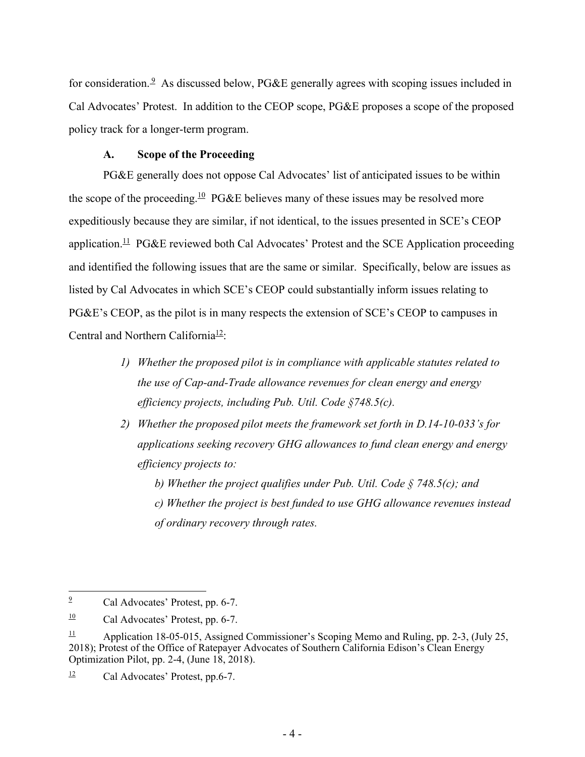for consideration.<sup>9</sup> As discussed below, PG&E generally agrees with scoping issues included in Cal Advocates' Protest. In addition to the CEOP scope, PG&E proposes a scope of the proposed policy track for a longer-term program.

### **A. Scope of the Proceeding**

PG&E generally does not oppose Cal Advocates' list of anticipated issues to be within the scope of the proceeding.<sup>10</sup> PG&E believes many of these issues may be resolved more expeditiously because they are similar, if not identical, to the issues presented in SCE's CEOP application.<sup>11</sup> PG&E reviewed both Cal Advocates' Protest and the SCE Application proceeding and identified the following issues that are the same or similar. Specifically, below are issues as listed by Cal Advocates in which SCE's CEOP could substantially inform issues relating to PG&E's CEOP, as the pilot is in many respects the extension of SCE's CEOP to campuses in Central and Northern California<sup>12</sup>:

- *1) Whether the proposed pilot is in compliance with applicable statutes related to the use of Cap-and-Trade allowance revenues for clean energy and energy efficiency projects, including Pub. Util. Code §748.5(c).*
- *2) Whether the proposed pilot meets the framework set forth in D.14-10-033's for applications seeking recovery GHG allowances to fund clean energy and energy efficiency projects to:*

*b) Whether the project qualifies under Pub. Util. Code § 748.5(c); and c) Whether the project is best funded to use GHG allowance revenues instead of ordinary recovery through rates.* 

<sup>9</sup> Cal Advocates' Protest, pp. 6-7.

 $\frac{10}{2}$  Cal Advocates' Protest, pp. 6-7.

<sup>&</sup>lt;sup>11</sup> Application 18-05-015, Assigned Commissioner's Scoping Memo and Ruling, pp. 2-3, (July 25, 2018); Protest of the Office of Ratepayer Advocates of Southern California Edison's Clean Energy Optimization Pilot, pp. 2-4, (June 18, 2018).

 $\frac{12}{2}$  Cal Advocates' Protest, pp.6-7.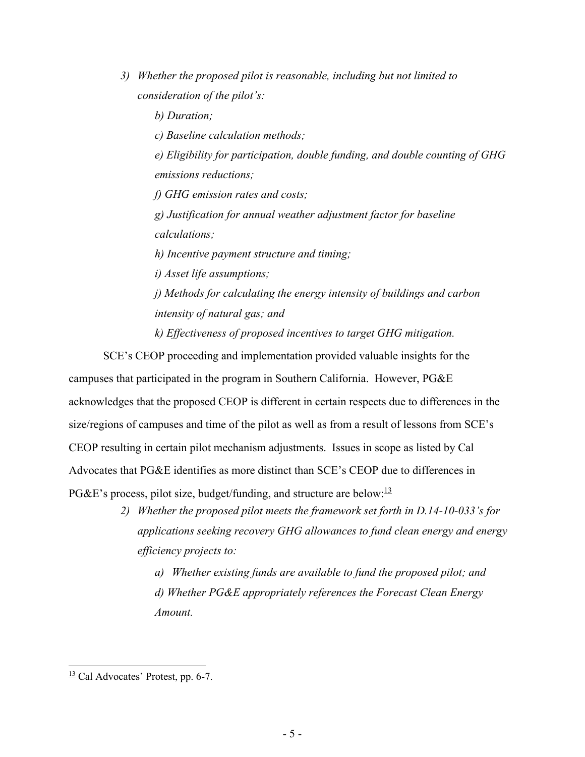*3) Whether the proposed pilot is reasonable, including but not limited to consideration of the pilot's:* 

*b) Duration;* 

*c) Baseline calculation methods;* 

*e) Eligibility for participation, double funding, and double counting of GHG emissions reductions;* 

*f) GHG emission rates and costs;*

*g) Justification for annual weather adjustment factor for baseline calculations;* 

*h) Incentive payment structure and timing;* 

*i) Asset life assumptions;* 

*j) Methods for calculating the energy intensity of buildings and carbon intensity of natural gas; and*

*k) Effectiveness of proposed incentives to target GHG mitigation.*

SCE's CEOP proceeding and implementation provided valuable insights for the campuses that participated in the program in Southern California. However, PG&E acknowledges that the proposed CEOP is different in certain respects due to differences in the size/regions of campuses and time of the pilot as well as from a result of lessons from SCE's CEOP resulting in certain pilot mechanism adjustments. Issues in scope as listed by Cal Advocates that PG&E identifies as more distinct than SCE's CEOP due to differences in PG&E's process, pilot size, budget/funding, and structure are below: $\frac{13}{2}$ 

> *2) Whether the proposed pilot meets the framework set forth in D.14-10-033's for applications seeking recovery GHG allowances to fund clean energy and energy efficiency projects to:*

*a) Whether existing funds are available to fund the proposed pilot; and d) Whether PG&E appropriately references the Forecast Clean Energy Amount.* 

 $\frac{13}{2}$  Cal Advocates' Protest, pp. 6-7.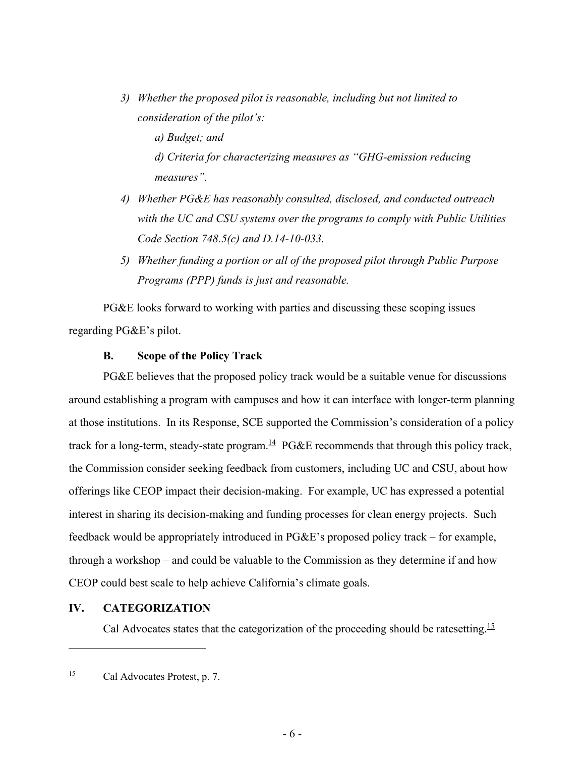*3) Whether the proposed pilot is reasonable, including but not limited to consideration of the pilot's:* 

*a) Budget; and* 

*d) Criteria for characterizing measures as "GHG-emission reducing measures".* 

- *4) Whether PG&E has reasonably consulted, disclosed, and conducted outreach with the UC and CSU systems over the programs to comply with Public Utilities Code Section 748.5(c) and D.14-10-033.*
- *5) Whether funding a portion or all of the proposed pilot through Public Purpose Programs (PPP) funds is just and reasonable.*

PG&E looks forward to working with parties and discussing these scoping issues regarding PG&E's pilot.

### **B. Scope of the Policy Track**

PG&E believes that the proposed policy track would be a suitable venue for discussions around establishing a program with campuses and how it can interface with longer-term planning at those institutions. In its Response, SCE supported the Commission's consideration of a policy track for a long-term, steady-state program.<sup>14</sup> PG&E recommends that through this policy track, the Commission consider seeking feedback from customers, including UC and CSU, about how offerings like CEOP impact their decision-making. For example, UC has expressed a potential interest in sharing its decision-making and funding processes for clean energy projects. Such feedback would be appropriately introduced in PG&E's proposed policy track – for example, through a workshop – and could be valuable to the Commission as they determine if and how CEOP could best scale to help achieve California's climate goals.

### **IV. CATEGORIZATION**

Cal Advocates states that the categorization of the proceeding should be ratesetting.<sup>15</sup>

 $\frac{15}{2}$  Cal Advocates Protest, p. 7.